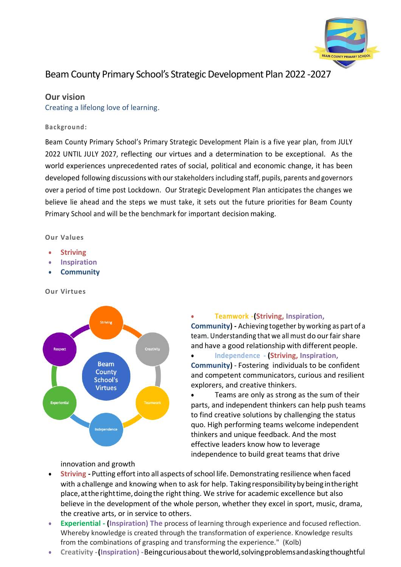

# Beam County Primary School's Strategic Development Plan 2022 -2027

# **Our vision**

Creating a lifelong love of learning.

#### **Backgr ound:**

Beam County Primary School's Primary Strategic Development Plain is a five year plan, from JULY 2022 UNTIL JULY 2027, reflecting our virtues and a determination to be exceptional. As the world experiences unprecedented rates of social, political and economic change, it has been developed following discussions with our stakeholders including staff, pupils, parents and governors over a period of time post Lockdown. Our Strategic Development Plan anticipates the changes we believe lie ahead and the steps we must take, it sets out the future priorities for Beam County Primary School and will be the benchmark for important decision making.

#### **Our Values**

- **Striving**
- **Inspiration**
- **Community**

## **Our Virtues**



#### • **Teamwork -(Striving, Inspiration,**

**Community) -** Achieving together by working as part of a team. Understanding that we all must do our fair share and have a good relationship with different people.

#### • **Independence - (Striving, Inspiration,**

**Community)** - Fostering individuals to be confident and competent communicators, curious and resilient explorers, and creative thinkers.

Teams are only as strong as the sum of their parts, and independent thinkers can help push teams to find creative solutions by challenging the status quo. High performing teams welcome independent thinkers and unique feedback. And the most effective leaders know how to leverage independence to build great teams that drive

innovation and growth

- **Striving -** Putting effortinto all aspects ofschool life.Demonstrating resilience when faced with a challenge and knowing when to ask for help. Taking responsibility by being in the right place,attherighttime,doingthe right thing. We strive for academic excellence but also believe in the development of the whole person, whether they excel in sport, music, drama, the creative arts, or in service to others.
- **Experiential - (Inspiration) The** process of learning through experience and focused reflection. Whereby knowledge is created through the transformation of experience. Knowledge results from the combinations of grasping and transforming the experience." (Kolb)
- **Creativity -(Inspiration) -**Beingcuriousabout theworld,solvingproblemsandaskingthoughtful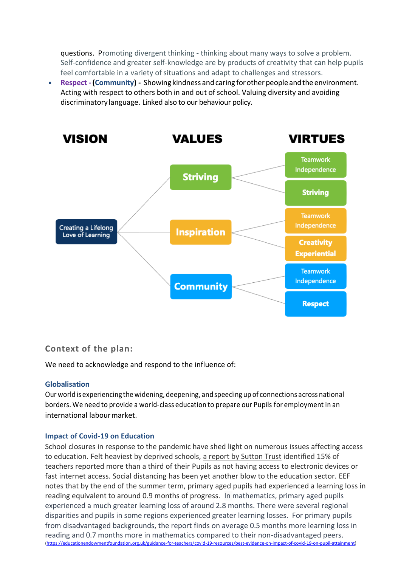questions. Promoting divergent thinking - thinking about many ways to solve a problem. Self-confidence and greater self-knowledge are by products of creativity that can help pupils feel comfortable in a variety of situations and adapt to challenges and stressors.

**Respect - (Community) -** Showing kindness and caring for other people and the environment. Acting with respect to others both in and out of school. Valuing diversity and avoiding discriminatory language. Linked also to our behaviour policy.



# **Context of the plan:**

We need to acknowledge and respond to the influence of:

## **Globalisation**

Our world is experiencing the widening, deepening, andspeeding up of connections across national borders. We need to provide a world-class education to prepare our Pupils for employment in an international labourmarket.

# **Impact of Covid-19 on Education**

School closures in response to the pandemic have shed light on numerous issues affecting access to education. Felt heaviest by deprived schools, a [report by Sutton Trust](https://www.suttontrust.com/our-research/covid-19-and-social-mobility-impact-brief/) identified 15% of teachers reported more than a third of their Pupils as not having access to electronic devices or fast internet access. Social distancing has been yet another blow to the education sector. EEF notes that by the end of the summer term, primary aged pupils had experienced a learning loss in reading equivalent to around 0.9 months of progress. In mathematics, primary aged pupils experienced a much greater learning loss of around 2.8 months. There were several regional disparities and pupils in some regions experienced greater learning losses. For primary pupils from disadvantaged backgrounds, the report finds on average 0.5 months more learning loss in reading and 0.7 months more in mathematics compared to their non-disadvantaged peers. [\(https://educationendowmentfoundation.org.uk/guidance-for-teachers/covid-19-resources/best-evidence-on-impact-of-covid-19-on-pupil-attainment\)](https://educationendowmentfoundation.org.uk/guidance-for-teachers/covid-19-resources/best-evidence-on-impact-of-covid-19-on-pupil-attainment)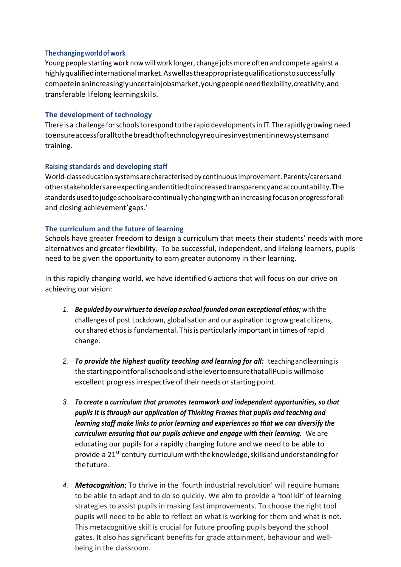## **Thechangingworldofwork**

Young people starting work now will work longer, change jobsmore often and compete against a highlyqualifiedinternationalmarket.Aswellastheappropriatequalificationstosuccessfully competeinanincreasinglyuncertainjobsmarket,youngpeopleneedflexibility,creativity,and transferable lifelong learningskills.

#### **The development of technology**

There is a challenge forschoolstorespond to the rapid developmentsin IT. The rapidly growing need toensureaccessforalltothebreadthoftechnologyrequiresinvestmentinnewsystemsand training.

#### **Raising standards and developing staff**

World-classeducation systems are characterised by continuousimprovement.Parents/carersand otherstakeholdersareexpectingandentitledtoincreasedtransparencyandaccountability.The standards usedtojudge schoolsare continually changing with an increasing focus on progressfor all and closing achievement'gaps.'

## **The curriculum and the future of learning**

Schools have greater freedom to design a curriculum that meets their students' needs with more alternatives and greater flexibility. To be successful, independent, and lifelong learners, pupils need to be given the opportunity to earn greater autonomy in their learning.

In this rapidly changing world, we have identified 6 actions that will focus on our drive on achieving our vision:

- *1. Be guided by our virtuesto develop a schoolfounded onan exceptional ethos;* with the challenges of post Lockdown, globalisation and our aspiration to grow great citizens, ourshared ethosis fundamental. Thisis particularly importantin times ofrapid change.
- *2. To provide the highest quality teaching and learning for all:* teachingandlearningis the startingpointforallschoolsandisthelevertoensurethatallPupils willmake excellent progress irrespective of their needs or starting point.
- *3. To create a curriculum that promotes teamwork and independent opportunities, so that pupils It is through our application of Thinking Frames that pupils and teaching and learning staff make links to prior learning and experiences so that we can diversify the curriculum ensuring that our pupils achieve and engage with their learning.* We are educating our pupils for a rapidly changing future and we need to be able to provide a 21st century curriculumwiththeknowledge,skillsandunderstandingfor thefuture.
- *4. Metacognition*; To thrive in the 'fourth industrial revolution' will require humans to be able to adapt and to do so quickly. We aim to provide a 'tool kit' of learning strategies to assist pupils in making fast improvements. To choose the right tool pupils will need to be able to reflect on what is working for them and what is not. This metacognitive skill is crucial for future proofing pupils beyond the school gates. It also has significant benefits for grade attainment, behaviour and wellbeing in the classroom.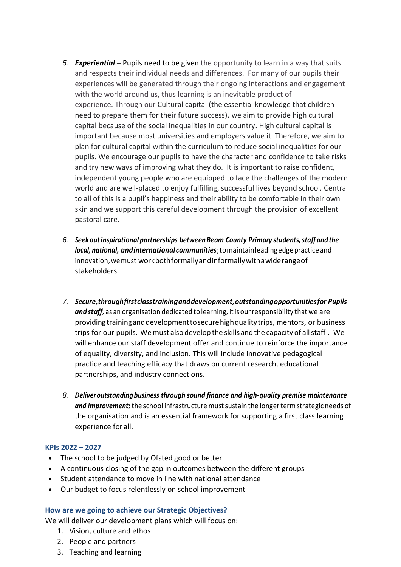- *5. Experiential* Pupils need to be given the opportunity to learn in a way that suits and respects their individual needs and differences. For many of our pupils their experiences will be generated through their ongoing interactions and engagement with the world around us, thus learning is an inevitable product of experience. Through our Cultural capital (the essential knowledge that children need to prepare them for their future success), we aim to provide high cultural capital because of the social inequalities in our country. High cultural capital is important because most universities and employers value it. Therefore, we aim to plan for cultural capital within the curriculum to reduce social inequalities for our pupils. We encourage our pupils to have the character and confidence to take risks and try new ways of improving what they do. It is important to raise confident, independent young people who are equipped to face the challenges of the modern world and are well-placed to enjoy fulfilling, successful lives beyond school. Central to all of this is a pupil's happiness and their ability to be comfortable in their own skin and we support this careful development through the provision of excellent pastoral care.
- *6. Seek outinspirational partnerships betweenBeam County Primary students,staff and the local, national, andinternationalcommunities*;tomaintainleadingedgepracticeand innovation,wemust workbothformallyandinformallywithawiderangeof stakeholders.
- *7. Secure,throughfirstclasstraininganddevelopment,outstandingopportunitiesfor Pupils andstaff;* as an organisation dedicated tolearning, itisourresponsibility that we are providingtraininganddevelopmenttosecurehighqualitytrips, mentors, or business trips for our pupils. Wemust also develop the skills and the capacity of allstaff . We will enhance our staff development offer and continue to reinforce the importance of equality, diversity, and inclusion. This will include innovative pedagogical practice and teaching efficacy that draws on current research, educational partnerships, and industry connections.
- *8. Deliveroutstandingbusiness through sound finance and high-quality premise maintenance and improvement;* the school infrastructure mustsustain the longertermstrategic needs of the organisation and is an essential framework for supporting a first class learning experience for all.

## **KPIs 2022 – 2027**

- The school to be judged by Ofsted good or better
- A continuous closing of the gap in outcomes between the different groups
- Student attendance to move in line with national attendance
- Our budget to focus relentlessly on school improvement

## **How are we going to achieve our Strategic Objectives?**

We will deliver our development plans which will focus on:

- 1. Vision, culture and ethos
- 2. People and partners
- 3. Teaching and learning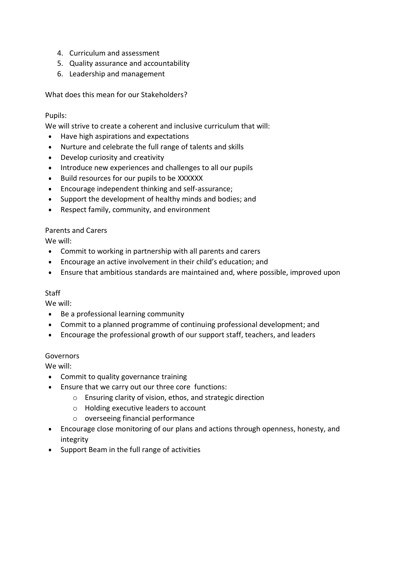- 4. Curriculum and assessment
- 5. Quality assurance and accountability
- 6. Leadership and management

What does this mean for our Stakeholders?

## Pupils:

We will strive to create a coherent and inclusive curriculum that will:

- Have high aspirations and expectations
- Nurture and celebrate the full range of talents and skills
- Develop curiosity and creativity
- Introduce new experiences and challenges to all our pupils
- Build resources for our pupils to be XXXXXX
- Encourage independent thinking and self-assurance;
- Support the development of healthy minds and bodies; and
- Respect family, community, and environment

## Parents and Carers

We will:

- Commit to working in partnership with all parents and carers
- Encourage an active involvement in their child's education; and
- Ensure that ambitious standards are maintained and, where possible, improved upon

## **Staff**

We will:

- Be a professional learning community
- Commit to a planned programme of continuing professional development; and
- Encourage the professional growth of our support staff, teachers, and leaders

## Governors

We will:

- Commit to quality governance training
- Ensure that we carry out our three core functions:
	- o Ensuring clarity of vision, ethos, and strategic direction
	- o Holding executive leaders to account
	- o overseeing financial performance
- Encourage close monitoring of our plans and actions through openness, honesty, and integrity
- Support Beam in the full range of activities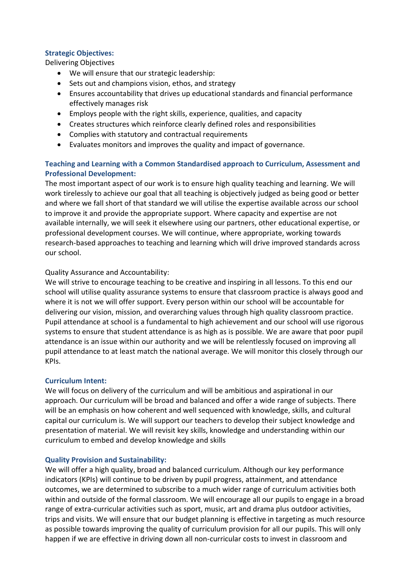# **Strategic Objectives:**

Delivering Objectives

- We will ensure that our strategic leadership:
- Sets out and champions vision, ethos, and strategy
- Ensures accountability that drives up educational standards and financial performance effectively manages risk
- Employs people with the right skills, experience, qualities, and capacity
- Creates structures which reinforce clearly defined roles and responsibilities
- Complies with statutory and contractual requirements
- Evaluates monitors and improves the quality and impact of governance.

# **Teaching and Learning with a Common Standardised approach to Curriculum, Assessment and Professional Development:**

The most important aspect of our work is to ensure high quality teaching and learning. We will work tirelessly to achieve our goal that all teaching is objectively judged as being good or better and where we fall short of that standard we will utilise the expertise available across our school to improve it and provide the appropriate support. Where capacity and expertise are not available internally, we will seek it elsewhere using our partners, other educational expertise, or professional development courses. We will continue, where appropriate, working towards research-based approaches to teaching and learning which will drive improved standards across our school.

# Quality Assurance and Accountability:

We will strive to encourage teaching to be creative and inspiring in all lessons. To this end our school will utilise quality assurance systems to ensure that classroom practice is always good and where it is not we will offer support. Every person within our school will be accountable for delivering our vision, mission, and overarching values through high quality classroom practice. Pupil attendance at school is a fundamental to high achievement and our school will use rigorous systems to ensure that student attendance is as high as is possible. We are aware that poor pupil attendance is an issue within our authority and we will be relentlessly focused on improving all pupil attendance to at least match the national average. We will monitor this closely through our KPIs.

# **Curriculum Intent:**

We will focus on delivery of the curriculum and will be ambitious and aspirational in our approach. Our curriculum will be broad and balanced and offer a wide range of subjects. There will be an emphasis on how coherent and well sequenced with knowledge, skills, and cultural capital our curriculum is. We will support our teachers to develop their subject knowledge and presentation of material. We will revisit key skills, knowledge and understanding within our curriculum to embed and develop knowledge and skills

# **Quality Provision and Sustainability:**

We will offer a high quality, broad and balanced curriculum. Although our key performance indicators (KPIs) will continue to be driven by pupil progress, attainment, and attendance outcomes, we are determined to subscribe to a much wider range of curriculum activities both within and outside of the formal classroom. We will encourage all our pupils to engage in a broad range of extra-curricular activities such as sport, music, art and drama plus outdoor activities, trips and visits. We will ensure that our budget planning is effective in targeting as much resource as possible towards improving the quality of curriculum provision for all our pupils. This will only happen if we are effective in driving down all non-curricular costs to invest in classroom and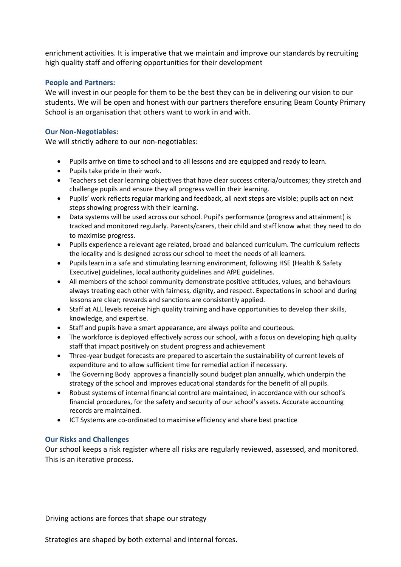enrichment activities. It is imperative that we maintain and improve our standards by recruiting high quality staff and offering opportunities for their development

## **People and Partners:**

We will invest in our people for them to be the best they can be in delivering our vision to our students. We will be open and honest with our partners therefore ensuring Beam County Primary School is an organisation that others want to work in and with.

## **Our Non-Negotiables:**

We will strictly adhere to our non-negotiables:

- Pupils arrive on time to school and to all lessons and are equipped and ready to learn.
- Pupils take pride in their work.
- Teachers set clear learning objectives that have clear success criteria/outcomes; they stretch and challenge pupils and ensure they all progress well in their learning.
- Pupils' work reflects regular marking and feedback, all next steps are visible; pupils act on next steps showing progress with their learning.
- Data systems will be used across our school. Pupil's performance (progress and attainment) is tracked and monitored regularly. Parents/carers, their child and staff know what they need to do to maximise progress.
- Pupils experience a relevant age related, broad and balanced curriculum. The curriculum reflects the locality and is designed across our school to meet the needs of all learners.
- Pupils learn in a safe and stimulating learning environment, following HSE (Health & Safety Executive) guidelines, local authority guidelines and AfPE guidelines.
- All members of the school community demonstrate positive attitudes, values, and behaviours always treating each other with fairness, dignity, and respect. Expectations in school and during lessons are clear; rewards and sanctions are consistently applied.
- Staff at ALL levels receive high quality training and have opportunities to develop their skills, knowledge, and expertise.
- Staff and pupils have a smart appearance, are always polite and courteous.
- The workforce is deployed effectively across our school, with a focus on developing high quality staff that impact positively on student progress and achievement
- Three-year budget forecasts are prepared to ascertain the sustainability of current levels of expenditure and to allow sufficient time for remedial action if necessary.
- The Governing Body approves a financially sound budget plan annually, which underpin the strategy of the school and improves educational standards for the benefit of all pupils.
- Robust systems of internal financial control are maintained, in accordance with our school's financial procedures, for the safety and security of our school's assets. Accurate accounting records are maintained.
- ICT Systems are co-ordinated to maximise efficiency and share best practice

## **Our Risks and Challenges**

Our school keeps a risk register where all risks are regularly reviewed, assessed, and monitored. This is an iterative process.

Driving actions are forces that shape our strategy

Strategies are shaped by both external and internal forces.